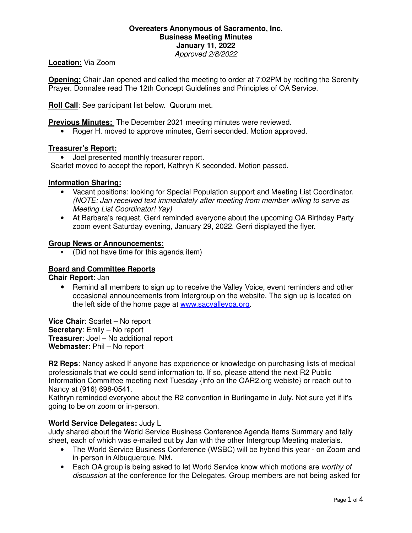### **Overeaters Anonymous of Sacramento, Inc. Business Meeting Minutes January 11, 2022** Approved 2/8/2022

### **Location:** Via Zoom

**Opening:** Chair Jan opened and called the meeting to order at 7:02PM by reciting the Serenity Prayer. Donnalee read The 12th Concept Guidelines and Principles of OA Service.

**Roll Call**: See participant list below. Quorum met.

**Previous Minutes:** The December 2021 meeting minutes were reviewed.

• Roger H. moved to approve minutes, Gerri seconded. Motion approved.

### **Treasurer's Report:**

• Joel presented monthly treasurer report.

Scarlet moved to accept the report, Kathryn K seconded. Motion passed.

### **Information Sharing:**

- Vacant positions: looking for Special Population support and Meeting List Coordinator. (NOTE: Jan received text immediately after meeting from member willing to serve as Meeting List Coordinator! Yay)
- At Barbara's request, Gerri reminded everyone about the upcoming OA Birthday Party zoom event Saturday evening, January 29, 2022. Gerri displayed the flyer.

### **Group News or Announcements:**

• (Did not have time for this agenda item)

### **Board and Committee Reports**

**Chair Report**: Jan

• Remind all members to sign up to receive the Valley Voice, event reminders and other occasional announcements from Intergroup on the website. The sign up is located on the left side of the home page at www.sacvalleyoa.org.

**Vice Chair**: Scarlet – No report **Secretary**: Emily – No report **Treasurer**: Joel – No additional report **Webmaster**: Phil – No report

**R2 Reps**: Nancy asked If anyone has experience or knowledge on purchasing lists of medical professionals that we could send information to. If so, please attend the next R2 Public Information Committee meeting next Tuesday {info on the OAR2.org webiste} or reach out to Nancy at (916) 698-0541.

Kathryn reminded everyone about the R2 convention in Burlingame in July. Not sure yet if it's going to be on zoom or in-person.

### **World Service Delegates:** Judy L

Judy shared about the World Service Business Conference Agenda Items Summary and tally sheet, each of which was e-mailed out by Jan with the other Intergroup Meeting materials.

- The World Service Business Conference (WSBC) will be hybrid this year on Zoom and in-person in Albuquerque, NM.
- Each OA group is being asked to let World Service know which motions are worthy of discussion at the conference for the Delegates. Group members are not being asked for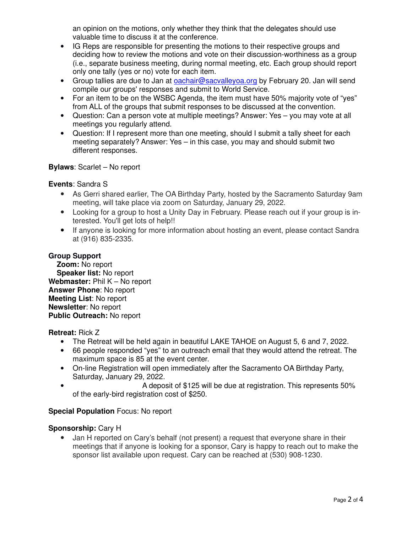an opinion on the motions, only whether they think that the delegates should use valuable time to discuss it at the conference.

- IG Reps are responsible for presenting the motions to their respective groups and deciding how to review the motions and vote on their discussion-worthiness as a group (i.e., separate business meeting, during normal meeting, etc. Each group should report only one tally (yes or no) vote for each item.
- Group tallies are due to Jan at oachair@sacvalleyoa.org by February 20. Jan will send compile our groups' responses and submit to World Service.
- For an item to be on the WSBC Agenda, the item must have 50% majority vote of "yes" from ALL of the groups that submit responses to be discussed at the convention.
- Question: Can a person vote at multiple meetings? Answer: Yes you may vote at all meetings you regularly attend.
- Question: If I represent more than one meeting, should I submit a tally sheet for each meeting separately? Answer: Yes – in this case, you may and should submit two different responses.

## **Bylaws**: Scarlet – No report

## **Events**: Sandra S

- As Gerri shared earlier, The OA Birthday Party, hosted by the Sacramento Saturday 9am meeting, will take place via zoom on Saturday, January 29, 2022.
- Looking for a group to host a Unity Day in February. Please reach out if your group is interested. You'll get lots of help!!
- If anyone is looking for more information about hosting an event, please contact Sandra at (916) 835-2335.

### **Group Support**

 **Zoom:** No report  **Speaker list:** No report Webmaster: Phil K – No report **Answer Phone**: No report **Meeting List**: No report **Newsletter**: No report **Public Outreach:** No report

### **Retreat:** Rick Z

- The Retreat will be held again in beautiful LAKE TAHOE on August 5, 6 and 7, 2022.
- 66 people responded "yes" to an outreach email that they would attend the retreat. The maximum space is 85 at the event center.
- On-line Registration will open immediately after the Sacramento OA Birthday Party, Saturday, January 29, 2022.
- A deposit of \$125 will be due at registration. This represents 50% of the early-bird registration cost of \$250.

# **Special Population** Focus: No report

## **Sponsorship:** Cary H

• Jan H reported on Cary's behalf (not present) a request that everyone share in their meetings that if anyone is looking for a sponsor, Cary is happy to reach out to make the sponsor list available upon request. Cary can be reached at (530) 908-1230.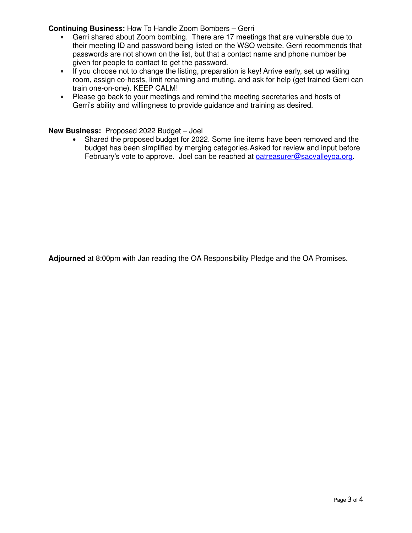**Continuing Business:** How To Handle Zoom Bombers – Gerri

- Gerri shared about Zoom bombing. There are 17 meetings that are vulnerable due to their meeting ID and password being listed on the WSO website. Gerri recommends that passwords are not shown on the list, but that a contact name and phone number be given for people to contact to get the password.
- If you choose not to change the listing, preparation is key! Arrive early, set up waiting room, assign co-hosts, limit renaming and muting, and ask for help (get trained-Gerri can train one-on-one). KEEP CALM!
- Please go back to your meetings and remind the meeting secretaries and hosts of Gerri's ability and willingness to provide guidance and training as desired.

**New Business:** Proposed 2022 Budget – Joel

• Shared the proposed budget for 2022. Some line items have been removed and the budget has been simplified by merging categories.Asked for review and input before February's vote to approve. Joel can be reached at oatreasurer@sacvalleyoa.org.

**Adjourned** at 8:00pm with Jan reading the OA Responsibility Pledge and the OA Promises.